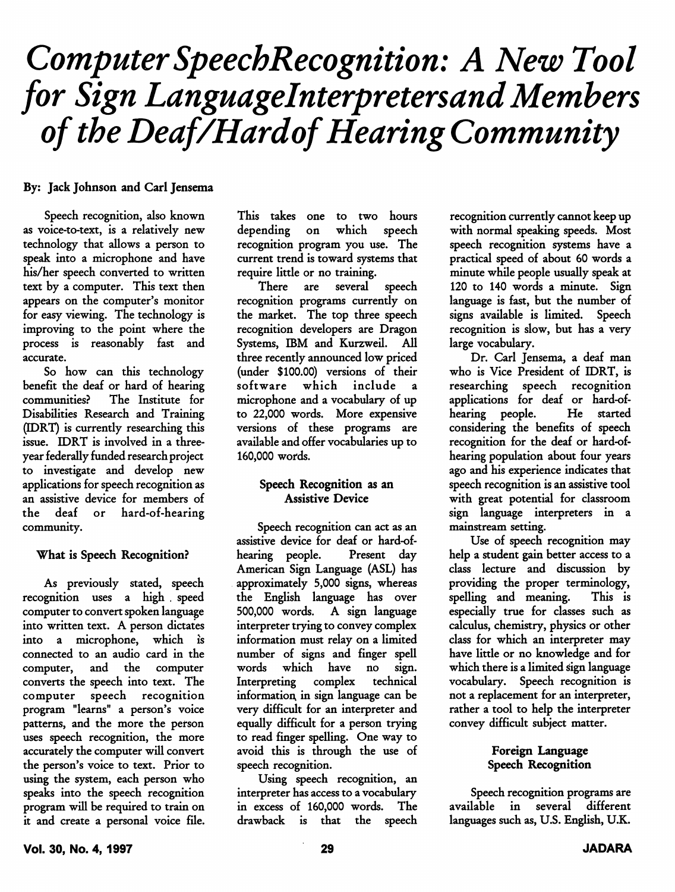# Computer SpeechRecognition: A New Tool for Sign Languagelnterpretersand Members of the Deaf/Hardof Hearing Community

# By: Jack Johnson and Carl Jensema

Speech recognition, also known as voice-to-text, is a relatively new technology that allows a person to speak into a microphone and have his/her speech converted to written text by a computer. This text then appears on the computer's monitor for easy viewing. The technology is improving to the point where the process is reasonably fast and accurate.

So how can this technology benefit the deaf or hard of hearing communities.^ The Institute for Disabilities Research and Training (EDRT) is currently researching this issue. IDRT is involved in a threeyear federally funded research project to investigate and develop new applications for speech recognition as an assistive device for members of the deaf or hard-of-hearing community.

#### What is Speech Recognition?

As previously stated, speech recognition uses a high . speed computer to convert spoken language into written text. A person dictates into a microphone, which is connected to an audio card in the computer, and the computer converts the speech into text. The computer speech recognition program "learns" a person's voice patterns, and the more the person uses speech recognition, the more accurately the computer will convert the person's voice to text. Prior to using the system, each person who speaks into the speech recognition program will be required to train on it and create a personal voice file. This takes one to two hours depending on which speech recognition program you use. The current trend is toward systems that require little or no training.

There are several speech recognition programs currently on the market. The top three speech recognition developers are Dragon Systems, IBM and Kurzweil. All three recently announced low priced (under \$100.00) versions of their software which include microphone and a vocabulary of up to 22,000 words. More expensive versions of these programs are available and offer vocabularies up to 160,000 words.

## Speech Recognition as an Assistive Device

Speech recognition can act as an assistive device for deaf or hard-ofhearing people. Present day American Sign Language (ASL) has approximately 5,000 signs, whereas the English language has over 500,000 words. A sign language interpreter trying to convey complex information must relay on a limited number of signs and finger spell words which have no sign. Interpreting complex technical information^ in sign language can be very difficult for an interpreter and equally difficult for a person trying to read finger spelling. One way to avoid this is through the use of speech recognition.

Using speech recognition, an interpreter has access to a vocabulary in excess of 160,000 words. The drawback is that the speech recognition currently cannot keep up with normal speaking speeds. Most speech recognition systems have a practical speed of about 60 words a minute while people usually speak at 120 to 140 words a minute. Sign language is fast, but the number of signs available is limited. Speech recognition is slow, but has a very large vocabulary.

Dr. Carl Jensema, a deaf man who is Vice President of IDRT, is researching speech recognition applications for deaf or hard-ofhearing people. He started considering the benefits of speech recognition for the deaf or hard-ofhearing population about four years ago and his experience indicates that speech recognition is an assistive tool with great potential for classroom sign language interpreters in a mainstream setting.

Use of speech recognition may help a student gain better access to a class lecture and discussion by providing the proper terminology, spelling and meaning. This is especially true for classes such as calculus, chemistry, physics or other class for which an interpreter may have little or no knowledge and for which there is a limited sign language vocabulary. Speech recognition is not a replacement for an interpreter, rather a tool to help the interpreter convey difficult subject matter.

## Foreign Language Speech Recognition

Speech recognition programs are available in several different languages such as, U.S. English, U.K.